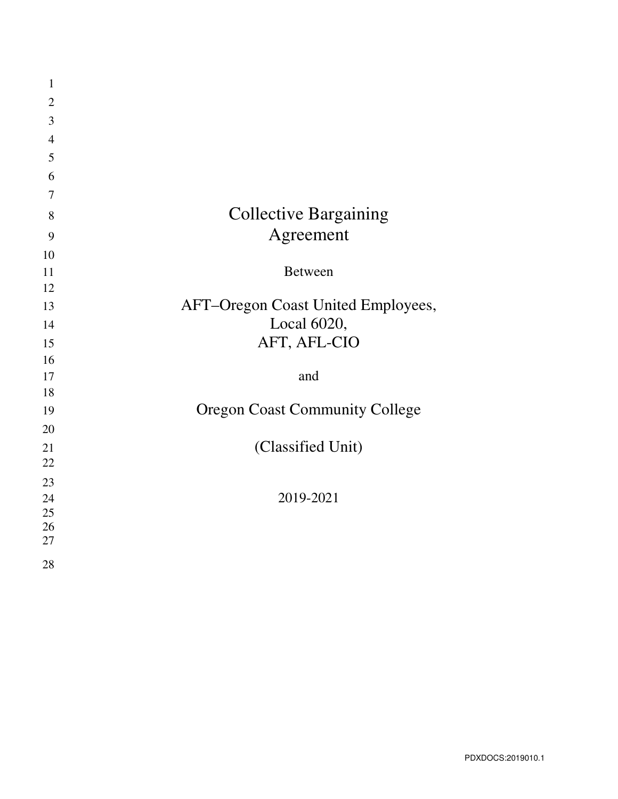| $\mathbf{1}$   |                                       |
|----------------|---------------------------------------|
| $\overline{2}$ |                                       |
| 3              |                                       |
| $\overline{4}$ |                                       |
| 5              |                                       |
| 6              |                                       |
| $\overline{7}$ |                                       |
| 8              | <b>Collective Bargaining</b>          |
| 9              | Agreement                             |
| 10             |                                       |
| 11             | <b>Between</b>                        |
| 12             |                                       |
| 13             | AFT-Oregon Coast United Employees,    |
| 14             | Local 6020,                           |
| 15             | AFT, AFL-CIO                          |
| 16             |                                       |
| 17             | and                                   |
| 18             |                                       |
| 19             | <b>Oregon Coast Community College</b> |
| 20             |                                       |
| 21             | (Classified Unit)                     |
| 22             |                                       |
| 23             |                                       |
| 24<br>25       | 2019-2021                             |
| 26             |                                       |
| 27             |                                       |
| 28             |                                       |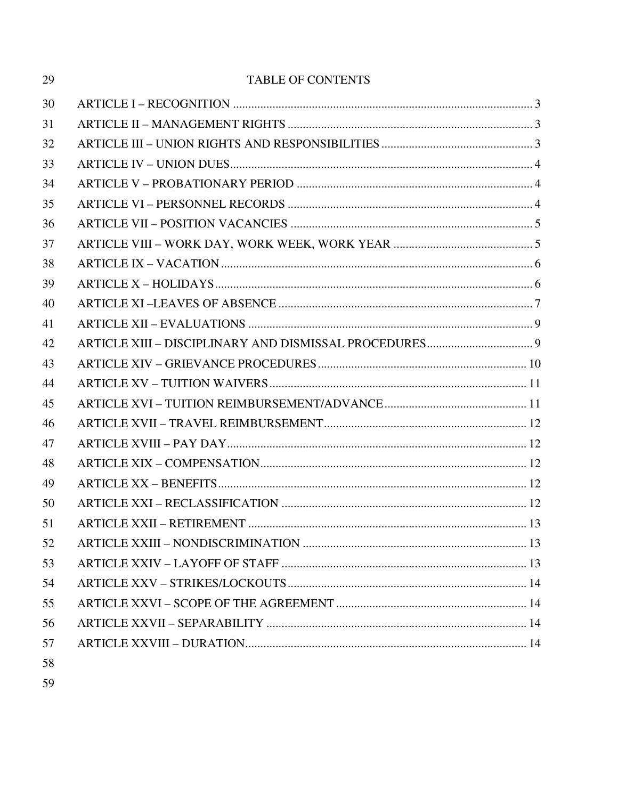| 29 | <b>TABLE OF CONTENTS</b> |  |
|----|--------------------------|--|
| 30 |                          |  |
| 31 |                          |  |
| 32 |                          |  |
| 33 |                          |  |
| 34 |                          |  |
| 35 |                          |  |
| 36 |                          |  |
| 37 |                          |  |
| 38 |                          |  |
| 39 |                          |  |
| 40 |                          |  |
| 41 |                          |  |
| 42 |                          |  |
| 43 |                          |  |
| 44 |                          |  |
| 45 |                          |  |
| 46 |                          |  |
| 47 |                          |  |
| 48 |                          |  |
| 49 |                          |  |
| 50 |                          |  |
| 51 |                          |  |
| 52 |                          |  |
| 53 |                          |  |
| 54 |                          |  |
| 55 |                          |  |
| 56 |                          |  |
| 57 |                          |  |
| 58 |                          |  |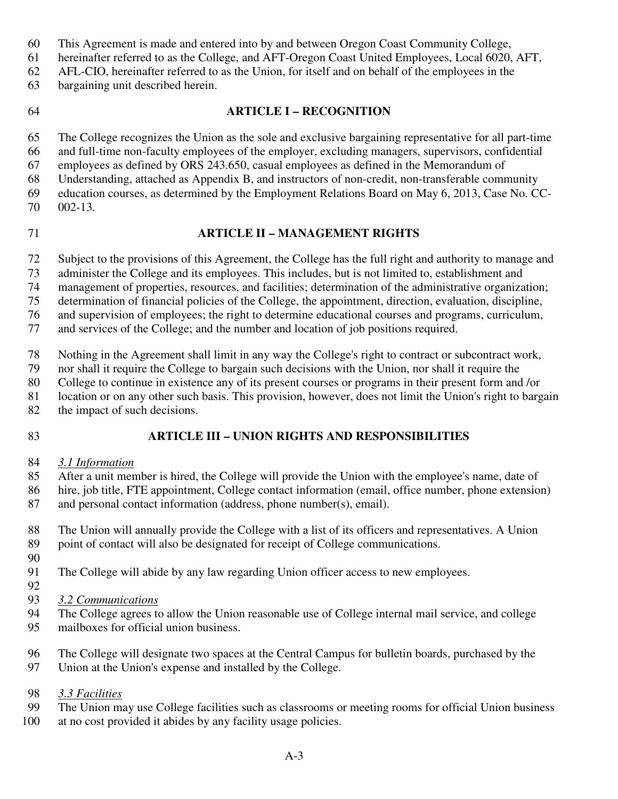- 60 This Agreement is made and entered into by and between Oregon Coast Community College,
- 61 hereinafter referred to as the College, and AFT-Oregon Coast United Employees, Local 6020, AFT,
- 62 AFL-CIO, hereinafter referred to as the Union, for itself and on behalf of the employees in the
- 63 bargaining unit described herein.
- 

# 64 **ARTICLE I – RECOGNITION**

65 The College recognizes the Union as the sole and exclusive bargaining representative for all part-time

66 and full-time non-faculty employees of the employer, excluding managers, supervisors, confidential

67 employees as defined by ORS 243.650, casual employees as defined in the Memorandum of 68 Understanding, attached as Appendix B, and instructors of non-credit, non-transferable community

- 69 education courses, as determined by the Employment Relations Board on May 6, 2013, Case No. CC-
- 70 002-13.
- 

# 71 **ARTICLE II – MANAGEMENT RIGHTS**

72 Subject to the provisions of this Agreement, the College has the full right and authority to manage and

73 administer the College and its employees. This includes, but is not limited to, establishment and

74 management of properties, resources, and facilities; determination of the administrative organization;<br>75 determination of financial policies of the College, the appointment, direction, evaluation, discipline,

determination of financial policies of the College, the appointment, direction, evaluation, discipline,

76 and supervision of employees; the right to determine educational courses and programs, curriculum,

77 and services of the College; and the number and location of job positions required.

78 Nothing in the Agreement shall limit in any way the College's right to contract or subcontract work,

79 nor shall it require the College to bargain such decisions with the Union, nor shall it require the

80 College to continue in existence any of its present courses or programs in their present form and /or

81 location or on any other such basis. This provision, however, does not limit the Union's right to bargain

- 82 the impact of such decisions.
- 

# 83 **ARTICLE III – UNION RIGHTS AND RESPONSIBILITIES**

84 *3.1 Information* 

85 After a unit member is hired, the College will provide the Union with the employee's name, date of

86 hire, job title, FTE appointment, College contact information (email, office number, phone extension) 87 and personal contact information (address, phone number(s), email).

88 The Union will annually provide the College with a list of its officers and representatives. A Union 89 point of contact will also be designated for receipt of College communications.

- 90
- 91 The College will abide by any law regarding Union officer access to new employees.
- 92

93 *3.2 Communications* 

- 94 The College agrees to allow the Union reasonable use of College internal mail service, and college 95 mailboxes for official union business.
- 96 The College will designate two spaces at the Central Campus for bulletin boards, purchased by the
- 97 Union at the Union's expense and installed by the College.
- 98 *3.3 Facilities*
- 99 The Union may use College facilities such as classrooms or meeting rooms for official Union business
- 100 at no cost provided it abides by any facility usage policies.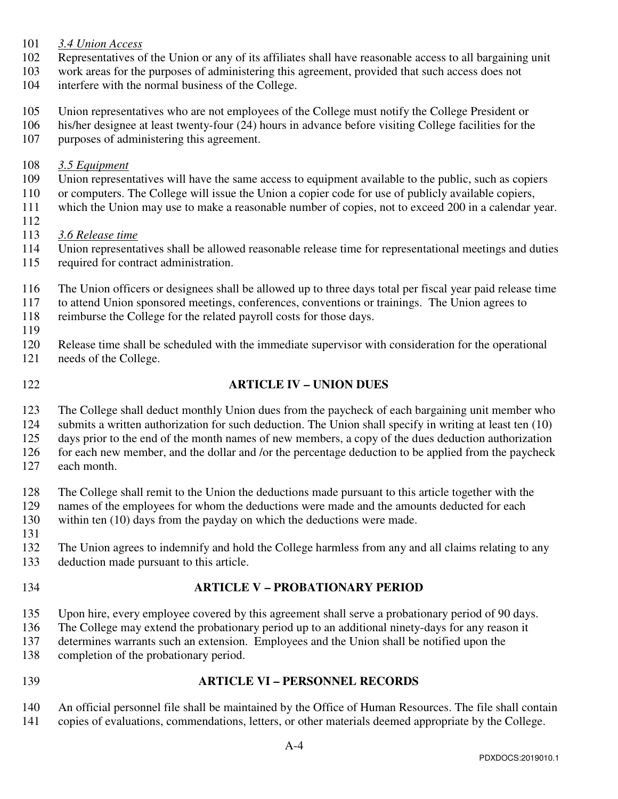- 101 *3.4 Union Access*
- 102 Representatives of the Union or any of its affiliates shall have reasonable access to all bargaining unit
- 103 work areas for the purposes of administering this agreement, provided that such access does not

104 interfere with the normal business of the College.

- 105 Union representatives who are not employees of the College must notify the College President or
- 106 his/her designee at least twenty-four (24) hours in advance before visiting College facilities for the
- 107 purposes of administering this agreement.
- 108 *3.5 Equipment*
- 109 Union representatives will have the same access to equipment available to the public, such as copiers
- 110 or computers. The College will issue the Union a copier code for use of publicly available copiers,
- 111 which the Union may use to make a reasonable number of copies, not to exceed 200 in a calendar year.
- 112
- 113 *3.6 Release time*
- 114 Union representatives shall be allowed reasonable release time for representational meetings and duties
- 115 required for contract administration.
- 116 The Union officers or designees shall be allowed up to three days total per fiscal year paid release time
- 117 to attend Union sponsored meetings, conferences, conventions or trainings. The Union agrees to
- 118 reimburse the College for the related payroll costs for those days.
- 119 120 Release time shall be scheduled with the immediate supervisor with consideration for the operational
- 121 needs of the College.
- 

### 122 **ARTICLE IV – UNION DUES**

- 123 The College shall deduct monthly Union dues from the paycheck of each bargaining unit member who
- 124 submits a written authorization for such deduction. The Union shall specify in writing at least ten (10)
- 125 days prior to the end of the month names of new members, a copy of the dues deduction authorization

126 for each new member, and the dollar and /or the percentage deduction to be applied from the paycheck

- 127 each month.
- 128 The College shall remit to the Union the deductions made pursuant to this article together with the
- 129 names of the employees for whom the deductions were made and the amounts deducted for each
- 130 within ten (10) days from the payday on which the deductions were made.
- 131
- 132 The Union agrees to indemnify and hold the College harmless from any and all claims relating to any
- 133 deduction made pursuant to this article.
- 

#### 134 **ARTICLE V – PROBATIONARY PERIOD**

- 135 Upon hire, every employee covered by this agreement shall serve a probationary period of 90 days.
- 136 The College may extend the probationary period up to an additional ninety-days for any reason it
- 137 determines warrants such an extension. Employees and the Union shall be notified upon the
- 138 completion of the probationary period.
- 

#### 139 **ARTICLE VI – PERSONNEL RECORDS**

140 An official personnel file shall be maintained by the Office of Human Resources. The file shall contain 141 copies of evaluations, commendations, letters, or other materials deemed appropriate by the College.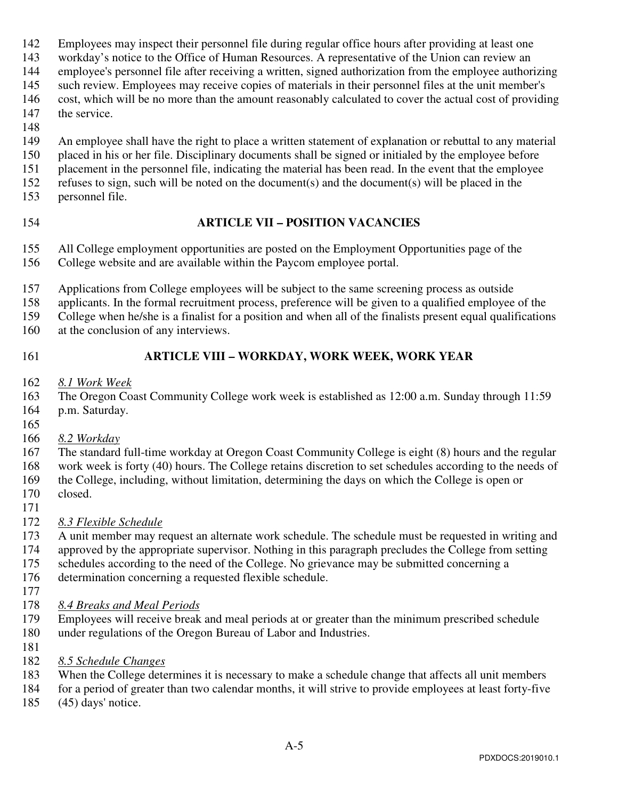- 142 Employees may inspect their personnel file during regular office hours after providing at least one
- 143 workday's notice to the Office of Human Resources. A representative of the Union can review an
- 144 employee's personnel file after receiving a written, signed authorization from the employee authorizing
- 145 such review. Employees may receive copies of materials in their personnel files at the unit member's
- 146 cost, which will be no more than the amount reasonably calculated to cover the actual cost of providing 147 the service.
- 148
- 149 An employee shall have the right to place a written statement of explanation or rebuttal to any material
- 150 placed in his or her file. Disciplinary documents shall be signed or initialed by the employee before
- 151 placement in the personnel file, indicating the material has been read. In the event that the employee 152 refuses to sign, such will be noted on the document(s) and the document(s) will be placed in the
- 153 personnel file.
- 

# 154 **ARTICLE VII – POSITION VACANCIES**

- 155 All College employment opportunities are posted on the Employment Opportunities page of the
- 156 College website and are available within the Paycom employee portal.
- 157 Applications from College employees will be subject to the same screening process as outside
- 158 applicants. In the formal recruitment process, preference will be given to a qualified employee of the
- 159 College when he/she is a finalist for a position and when all of the finalists present equal qualifications
- 160 at the conclusion of any interviews.
- 

# 161 **ARTICLE VIII – WORKDAY, WORK WEEK, WORK YEAR**

- 162 *8.1 Work Week*
- 163 The Oregon Coast Community College work week is established as 12:00 a.m. Sunday through 11:59
- 164 p.m. Saturday.
- 165
- 166 *8.2 Workday*
- 167 The standard full-time workday at Oregon Coast Community College is eight (8) hours and the regular
- 168 work week is forty (40) hours. The College retains discretion to set schedules according to the needs of
- 169 the College, including, without limitation, determining the days on which the College is open or 170 closed.
- 171
- 172 *8.3 Flexible Schedule*
- 173 A unit member may request an alternate work schedule. The schedule must be requested in writing and
- 174 approved by the appropriate supervisor. Nothing in this paragraph precludes the College from setting
- 175 schedules according to the need of the College. No grievance may be submitted concerning a
- 176 determination concerning a requested flexible schedule.
- 177
- 178 *8.4 Breaks and Meal Periods*
- 179 Employees will receive break and meal periods at or greater than the minimum prescribed schedule 180 under regulations of the Oregon Bureau of Labor and Industries.
- 181
- 182 *8.5 Schedule Changes*
- 183 When the College determines it is necessary to make a schedule change that affects all unit members
- 184 for a period of greater than two calendar months, it will strive to provide employees at least forty-five
- 185 (45) days' notice.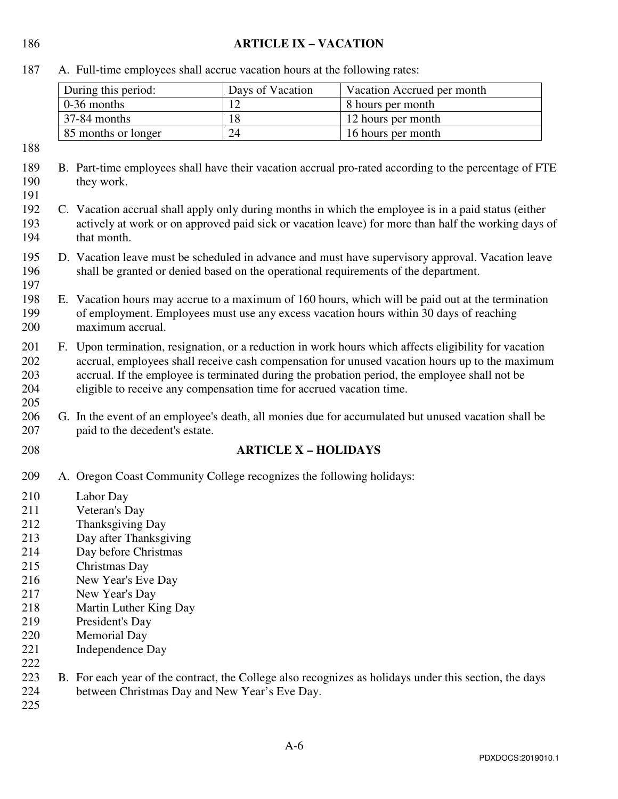### 186 **ARTICLE IX – VACATION**

187 A. Full-time employees shall accrue vacation hours at the following rates:

| During this period:      | Days of Vacation | Vacation Accrued per month |
|--------------------------|------------------|----------------------------|
| $\vert$ 0-36 months      |                  | 8 hours per month          |
| $\frac{37-84}{ }$ months |                  | 12 hours per month         |
| 85 months or longer      | 24               | 16 hours per month         |

188

191

- 189 B. Part-time employees shall have their vacation accrual pro-rated according to the percentage of FTE 190 they work.
- 192 C. Vacation accrual shall apply only during months in which the employee is in a paid status (either 193 actively at work or on approved paid sick or vacation leave) for more than half the working days of 194 that month.
- 195 D. Vacation leave must be scheduled in advance and must have supervisory approval. Vacation leave 196 shall be granted or denied based on the operational requirements of the department. 197
- 198 E. Vacation hours may accrue to a maximum of 160 hours, which will be paid out at the termination 199 of employment. Employees must use any excess vacation hours within 30 days of reaching 200 maximum accrual.
- 201 F. Upon termination, resignation, or a reduction in work hours which affects eligibility for vacation 202 accrual, employees shall receive cash compensation for unused vacation hours up to the maximum 203 accrual. If the employee is terminated during the probation period, the employee shall not be 204 eligible to receive any compensation time for accrued vacation time.
- 206 G. In the event of an employee's death, all monies due for accumulated but unused vacation shall be 207 paid to the decedent's estate.
- 

205

### 208 **ARTICLE X – HOLIDAYS**

- 209 A. Oregon Coast Community College recognizes the following holidays:
- 210 Labor Day
- 211 Veteran's Day
- 212 Thanksgiving Day
- 213 Day after Thanksgiving
- 214 Day before Christmas
- 215 Christmas Day
- 216 New Year's Eve Day
- 217 New Year's Day
- 218 Martin Luther King Day
- 219 President's Day
- 220 Memorial Day
- 221 Independence Day
- 223 B. For each year of the contract, the College also recognizes as holidays under this section, the days 224 between Christmas Day and New Year's Eve Day.

225

222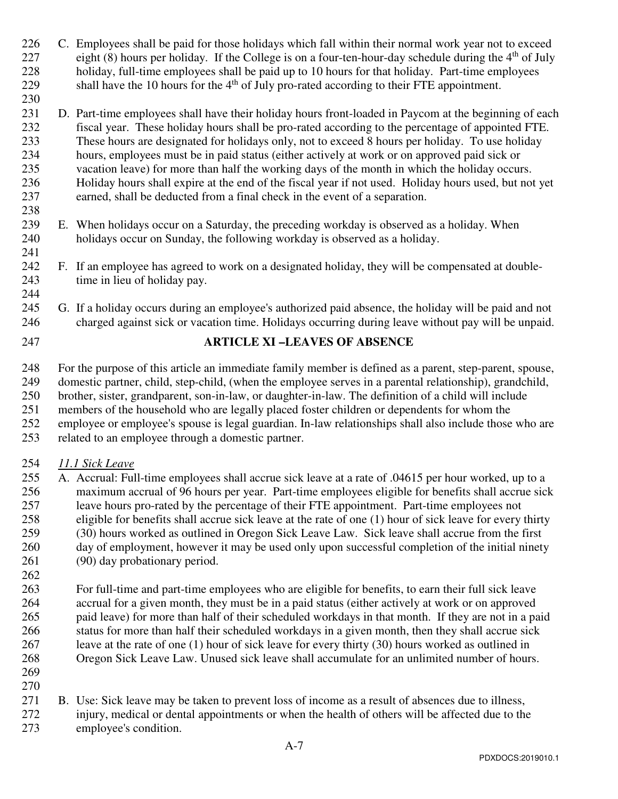- 226 C. Employees shall be paid for those holidays which fall within their normal work year not to exceed 227 eight (8) hours per holiday. If the College is on a four-ten-hour-day schedule during the  $4<sup>th</sup>$  of July 228 holiday, full-time employees shall be paid up to 10 hours for that holiday. Part-time employees 229 shall have the 10 hours for the  $4<sup>th</sup>$  of July pro-rated according to their FTE appointment.
- 231 D. Part-time employees shall have their holiday hours front-loaded in Paycom at the beginning of each 232 fiscal year. These holiday hours shall be pro-rated according to the percentage of appointed FTE. 233 These hours are designated for holidays only, not to exceed 8 hours per holiday. To use holiday 234 hours, employees must be in paid status (either actively at work or on approved paid sick or 235 vacation leave) for more than half the working days of the month in which the holiday occurs. 236 Holiday hours shall expire at the end of the fiscal year if not used. Holiday hours used, but not yet 237 earned, shall be deducted from a final check in the event of a separation.
- 239 E. When holidays occur on a Saturday, the preceding workday is observed as a holiday. When 240 holidays occur on Sunday, the following workday is observed as a holiday.
- 242 F. If an employee has agreed to work on a designated holiday, they will be compensated at double-243 time in lieu of holiday pay. 244
- 245 G. If a holiday occurs during an employee's authorized paid absence, the holiday will be paid and not 246 charged against sick or vacation time. Holidays occurring during leave without pay will be unpaid.
- 

230

238

241

# 247 **ARTICLE XI –LEAVES OF ABSENCE**

248 For the purpose of this article an immediate family member is defined as a parent, step-parent, spouse, 249 domestic partner, child, step-child, (when the employee serves in a parental relationship), grandchild, 250 brother, sister, grandparent, son-in-law, or daughter-in-law. The definition of a child will include 251 members of the household who are legally placed foster children or dependents for whom the 252 employee or employee's spouse is legal guardian. In-law relationships shall also include those who are 253 related to an employee through a domestic partner.

### 254 *11.1 Sick Leave*

- 255 A. Accrual: Full-time employees shall accrue sick leave at a rate of .04615 per hour worked, up to a 256 maximum accrual of 96 hours per year. Part-time employees eligible for benefits shall accrue sick 257 leave hours pro-rated by the percentage of their FTE appointment. Part-time employees not 258 eligible for benefits shall accrue sick leave at the rate of one (1) hour of sick leave for every thirty 259 (30) hours worked as outlined in Oregon Sick Leave Law. Sick leave shall accrue from the first 260 day of employment, however it may be used only upon successful completion of the initial ninety 261 (90) day probationary period.
- 262 263 For full-time and part-time employees who are eligible for benefits, to earn their full sick leave 264 accrual for a given month, they must be in a paid status (either actively at work or on approved 265 paid leave) for more than half of their scheduled workdays in that month. If they are not in a paid 266 status for more than half their scheduled workdays in a given month, then they shall accrue sick 267 leave at the rate of one (1) hour of sick leave for every thirty (30) hours worked as outlined in 268 Oregon Sick Leave Law. Unused sick leave shall accumulate for an unlimited number of hours.
- 269 270
- 271 B. Use: Sick leave may be taken to prevent loss of income as a result of absences due to illness,
- 272 injury, medical or dental appointments or when the health of others will be affected due to the 273 employee's condition.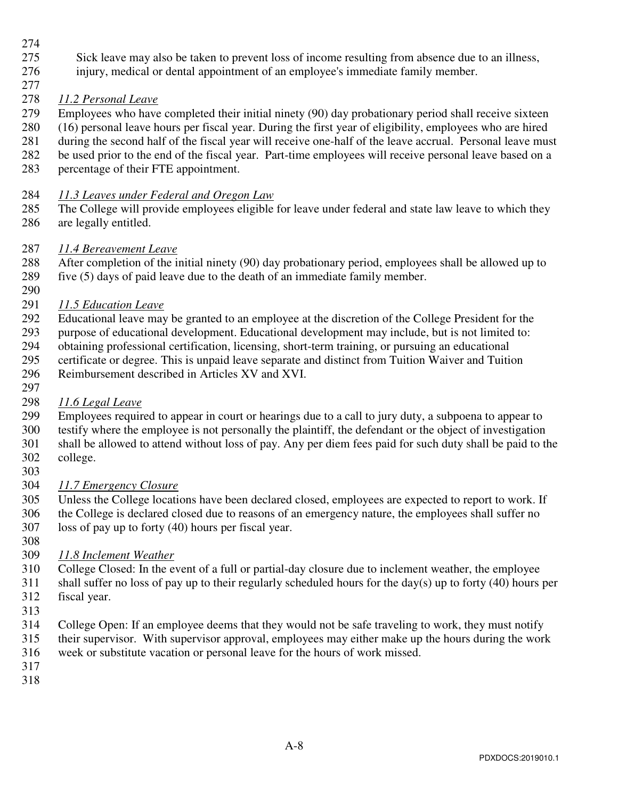- 274
- 275 Sick leave may also be taken to prevent loss of income resulting from absence due to an illness,
- 276 injury, medical or dental appointment of an employee's immediate family member.
- 277

### 278 *11.2 Personal Leave*

- 279 Employees who have completed their initial ninety (90) day probationary period shall receive sixteen
- 280 (16) personal leave hours per fiscal year. During the first year of eligibility, employees who are hired
- 281 during the second half of the fiscal year will receive one-half of the leave accrual. Personal leave must
- 282 be used prior to the end of the fiscal year. Part-time employees will receive personal leave based on a
- 283 percentage of their FTE appointment.
- 284 *11.3 Leaves under Federal and Oregon Law*
- 285 The College will provide employees eligible for leave under federal and state law leave to which they 286 are legally entitled.

# 287 *11.4 Bereavement Leave*

- 288 After completion of the initial ninety (90) day probationary period, employees shall be allowed up to 289 five (5) days of paid leave due to the death of an immediate family member.
- 290
- 291 *11.5 Education Leave*
- 292 Educational leave may be granted to an employee at the discretion of the College President for the
- 293 purpose of educational development. Educational development may include, but is not limited to:
- 294 obtaining professional certification, licensing, short-term training, or pursuing an educational
- 295 certificate or degree. This is unpaid leave separate and distinct from Tuition Waiver and Tuition
- 296 Reimbursement described in Articles XV and XVI.
- 297 298 *11.6 Legal Leave*
- 299 Employees required to appear in court or hearings due to a call to jury duty, a subpoena to appear to
- 300 testify where the employee is not personally the plaintiff, the defendant or the object of investigation
- 301 shall be allowed to attend without loss of pay. Any per diem fees paid for such duty shall be paid to the
- 302 college. 303
- 304 *11.7 Emergency Closure*
- 305 Unless the College locations have been declared closed, employees are expected to report to work. If 306 the College is declared closed due to reasons of an emergency nature, the employees shall suffer no 307 loss of pay up to forty (40) hours per fiscal year.
- 
- 308
- 309 *11.8 Inclement Weather*
- 310 College Closed: In the event of a full or partial-day closure due to inclement weather, the employee
- 311 shall suffer no loss of pay up to their regularly scheduled hours for the day(s) up to forty (40) hours per 312 fiscal year.
- 313
- 314 College Open: If an employee deems that they would not be safe traveling to work, they must notify
- 315 their supervisor. With supervisor approval, employees may either make up the hours during the work
- 316 week or substitute vacation or personal leave for the hours of work missed.
- 317 318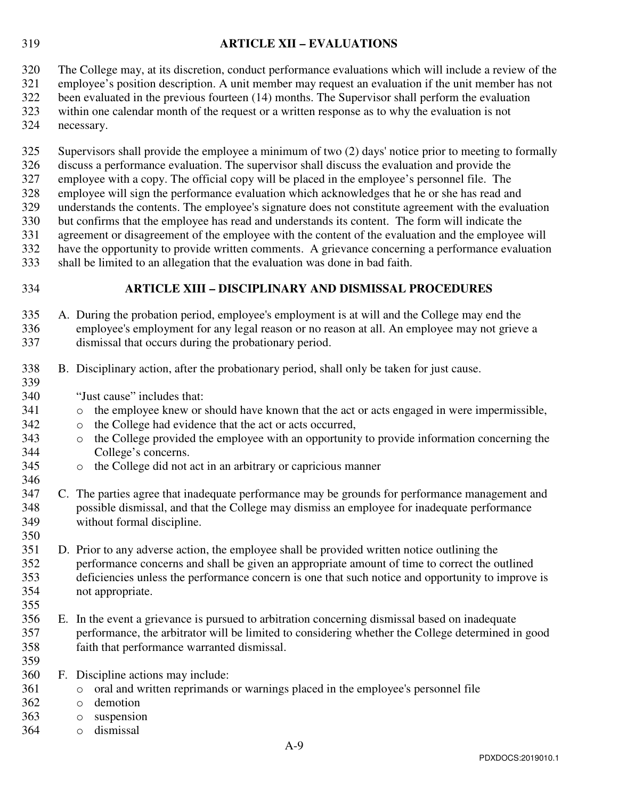#### 319 **ARTICLE XII – EVALUATIONS**

320 The College may, at its discretion, conduct performance evaluations which will include a review of the

- 321 employee's position description. A unit member may request an evaluation if the unit member has not 322 been evaluated in the previous fourteen (14) months. The Supervisor shall perform the evaluation
- 323 within one calendar month of the request or a written response as to why the evaluation is not
- 324 necessary.

325 Supervisors shall provide the employee a minimum of two (2) days' notice prior to meeting to formally

- 326 discuss a performance evaluation. The supervisor shall discuss the evaluation and provide the
- 327 employee with a copy. The official copy will be placed in the employee's personnel file. The
- 328 employee will sign the performance evaluation which acknowledges that he or she has read and
- 329 understands the contents. The employee's signature does not constitute agreement with the evaluation
- 330 but confirms that the employee has read and understands its content. The form will indicate the 331 agreement or disagreement of the employee with the content of the evaluation and the employee will
- 332 have the opportunity to provide written comments. A grievance concerning a performance evaluation
- 333 shall be limited to an allegation that the evaluation was done in bad faith.
- 

339

346

# 334 **ARTICLE XIII – DISCIPLINARY AND DISMISSAL PROCEDURES**

- 335 A. During the probation period, employee's employment is at will and the College may end the 336 employee's employment for any legal reason or no reason at all. An employee may not grieve a 337 dismissal that occurs during the probationary period.
- 338 B. Disciplinary action, after the probationary period, shall only be taken for just cause.
- 340 "Just cause" includes that:
- 341 o the employee knew or should have known that the act or acts engaged in were impermissible,
- 342 o the College had evidence that the act or acts occurred,
- 343 o the College provided the employee with an opportunity to provide information concerning the 344 College's concerns.
- 345 o the College did not act in an arbitrary or capricious manner
- 347 C. The parties agree that inadequate performance may be grounds for performance management and 348 possible dismissal, and that the College may dismiss an employee for inadequate performance 349 without formal discipline. 350
- 351 D. Prior to any adverse action, the employee shall be provided written notice outlining the 352 performance concerns and shall be given an appropriate amount of time to correct the outlined 353 deficiencies unless the performance concern is one that such notice and opportunity to improve is 354 not appropriate.
- 356 E. In the event a grievance is pursued to arbitration concerning dismissal based on inadequate 357 performance, the arbitrator will be limited to considering whether the College determined in good 358 faith that performance warranted dismissal.
- 359

355

- 360 F. Discipline actions may include:
- 361 o oral and written reprimands or warnings placed in the employee's personnel file
- 362 o demotion
- 363 o suspension
- 364 o dismissal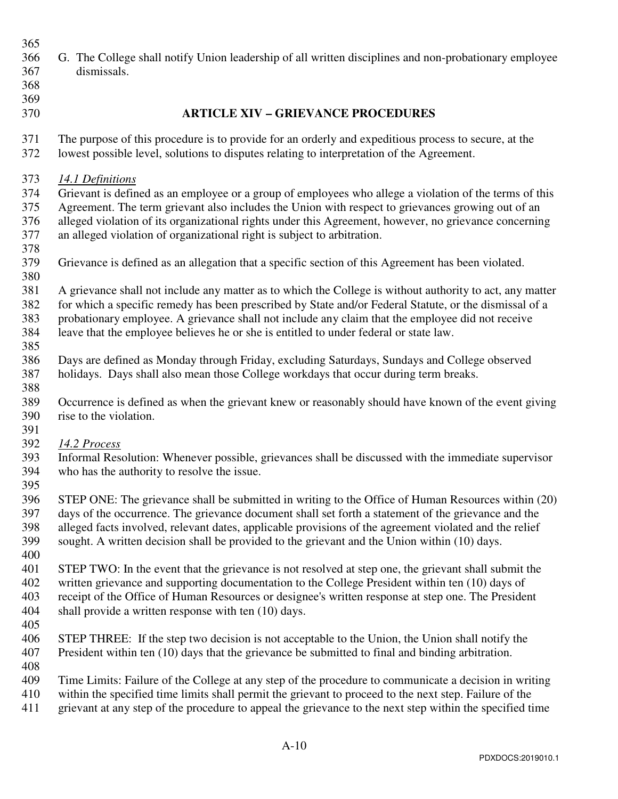| 365<br>366<br>367<br>368<br>369<br>370 | G. The College shall notify Union leadership of all written disciplines and non-probationary employee<br>dismissals.<br><b>ARTICLE XIV - GRIEVANCE PROCEDURES</b>                                                                                                                                                                                                                                                   |
|----------------------------------------|---------------------------------------------------------------------------------------------------------------------------------------------------------------------------------------------------------------------------------------------------------------------------------------------------------------------------------------------------------------------------------------------------------------------|
| 371<br>372                             | The purpose of this procedure is to provide for an orderly and expeditious process to secure, at the<br>lowest possible level, solutions to disputes relating to interpretation of the Agreement.                                                                                                                                                                                                                   |
| 373<br>374<br>375<br>376<br>377<br>378 | 14.1 Definitions<br>Grievant is defined as an employee or a group of employees who allege a violation of the terms of this<br>Agreement. The term grievant also includes the Union with respect to grievances growing out of an<br>alleged violation of its organizational rights under this Agreement, however, no grievance concerning<br>an alleged violation of organizational right is subject to arbitration. |
| 379<br>380                             | Grievance is defined as an allegation that a specific section of this Agreement has been violated.                                                                                                                                                                                                                                                                                                                  |
| 381<br>382<br>383<br>384<br>385        | A grievance shall not include any matter as to which the College is without authority to act, any matter<br>for which a specific remedy has been prescribed by State and/or Federal Statute, or the dismissal of a<br>probationary employee. A grievance shall not include any claim that the employee did not receive<br>leave that the employee believes he or she is entitled to under federal or state law.     |
| 386<br>387<br>388                      | Days are defined as Monday through Friday, excluding Saturdays, Sundays and College observed<br>holidays. Days shall also mean those College workdays that occur during term breaks.                                                                                                                                                                                                                                |
| 389<br>390<br>391                      | Occurrence is defined as when the grievant knew or reasonably should have known of the event giving<br>rise to the violation.                                                                                                                                                                                                                                                                                       |
| 392<br>393<br>394<br>395               | 14.2 Process<br>Informal Resolution: Whenever possible, grievances shall be discussed with the immediate supervisor<br>who has the authority to resolve the issue.                                                                                                                                                                                                                                                  |
| 396<br>397<br>398<br>399<br>400        | STEP ONE: The grievance shall be submitted in writing to the Office of Human Resources within (20)<br>days of the occurrence. The grievance document shall set forth a statement of the grievance and the<br>alleged facts involved, relevant dates, applicable provisions of the agreement violated and the relief<br>sought. A written decision shall be provided to the grievant and the Union within (10) days. |
| 401<br>402<br>403<br>404<br>405        | STEP TWO: In the event that the grievance is not resolved at step one, the grievant shall submit the<br>written grievance and supporting documentation to the College President within ten (10) days of<br>receipt of the Office of Human Resources or designee's written response at step one. The President<br>shall provide a written response with ten (10) days.                                               |
| 406<br>407                             | STEP THREE: If the step two decision is not acceptable to the Union, the Union shall notify the<br>President within ten (10) days that the grievance be submitted to final and binding arbitration.                                                                                                                                                                                                                 |
| 408<br>409<br>410<br>411               | Time Limits: Failure of the College at any step of the procedure to communicate a decision in writing<br>within the specified time limits shall permit the grievant to proceed to the next step. Failure of the<br>grievant at any step of the procedure to appeal the grievance to the next step within the specified time                                                                                         |
|                                        |                                                                                                                                                                                                                                                                                                                                                                                                                     |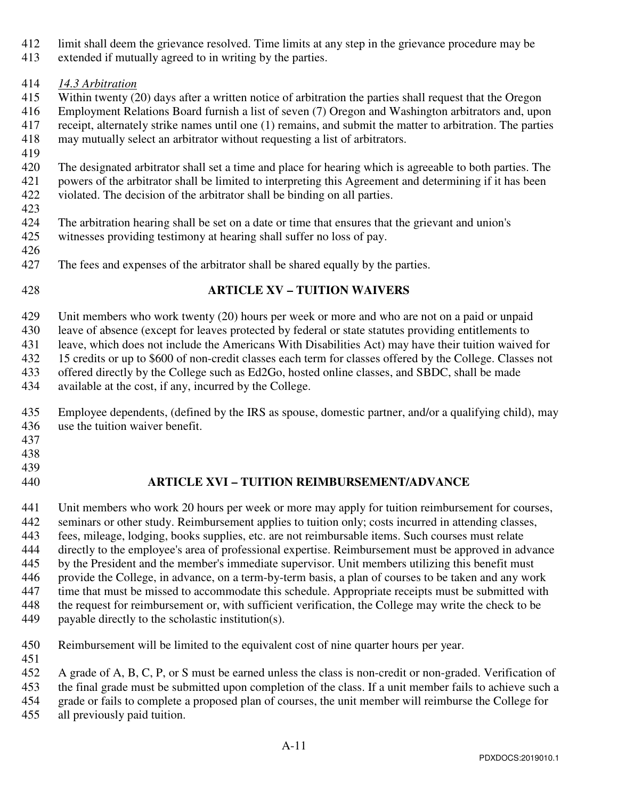- 412 limit shall deem the grievance resolved. Time limits at any step in the grievance procedure may be
- 413 extended if mutually agreed to in writing by the parties.

# 414 *14.3 Arbitration*

- 415 Within twenty (20) days after a written notice of arbitration the parties shall request that the Oregon
- 416 Employment Relations Board furnish a list of seven (7) Oregon and Washington arbitrators and, upon 417 receipt, alternately strike names until one (1) remains, and submit the matter to arbitration. The parties
- 418 may mutually select an arbitrator without requesting a list of arbitrators.
- 419

420 The designated arbitrator shall set a time and place for hearing which is agreeable to both parties. The 421 powers of the arbitrator shall be limited to interpreting this Agreement and determining if it has been 422 violated. The decision of the arbitrator shall be binding on all parties.

- 423
- 424 The arbitration hearing shall be set on a date or time that ensures that the grievant and union's
- 425 witnesses providing testimony at hearing shall suffer no loss of pay.
- 426
- 427 The fees and expenses of the arbitrator shall be shared equally by the parties.
- 

# 428 **ARTICLE XV – TUITION WAIVERS**

429 Unit members who work twenty (20) hours per week or more and who are not on a paid or unpaid

430 leave of absence (except for leaves protected by federal or state statutes providing entitlements to

431 leave, which does not include the Americans With Disabilities Act) may have their tuition waived for

432 15 credits or up to \$600 of non-credit classes each term for classes offered by the College. Classes not

- 433 offered directly by the College such as Ed2Go, hosted online classes, and SBDC, shall be made
- 434 available at the cost, if any, incurred by the College.

435 Employee dependents, (defined by the IRS as spouse, domestic partner, and/or a qualifying child), may 436 use the tuition waiver benefit.

- 437
- 438
- 439
- 

# 440 **ARTICLE XVI – TUITION REIMBURSEMENT/ADVANCE**

441 Unit members who work 20 hours per week or more may apply for tuition reimbursement for courses, 442 seminars or other study. Reimbursement applies to tuition only; costs incurred in attending classes, 443 fees, mileage, lodging, books supplies, etc. are not reimbursable items. Such courses must relate 444 directly to the employee's area of professional expertise. Reimbursement must be approved in advance 445 by the President and the member's immediate supervisor. Unit members utilizing this benefit must 446 provide the College, in advance, on a term-by-term basis, a plan of courses to be taken and any work 447 time that must be missed to accommodate this schedule. Appropriate receipts must be submitted with 448 the request for reimbursement or, with sufficient verification, the College may write the check to be 449 payable directly to the scholastic institution(s).

451

450 Reimbursement will be limited to the equivalent cost of nine quarter hours per year.

452 A grade of A, B, C, P, or S must be earned unless the class is non-credit or non-graded. Verification of

453 the final grade must be submitted upon completion of the class. If a unit member fails to achieve such a

454 grade or fails to complete a proposed plan of courses, the unit member will reimburse the College for

455 all previously paid tuition.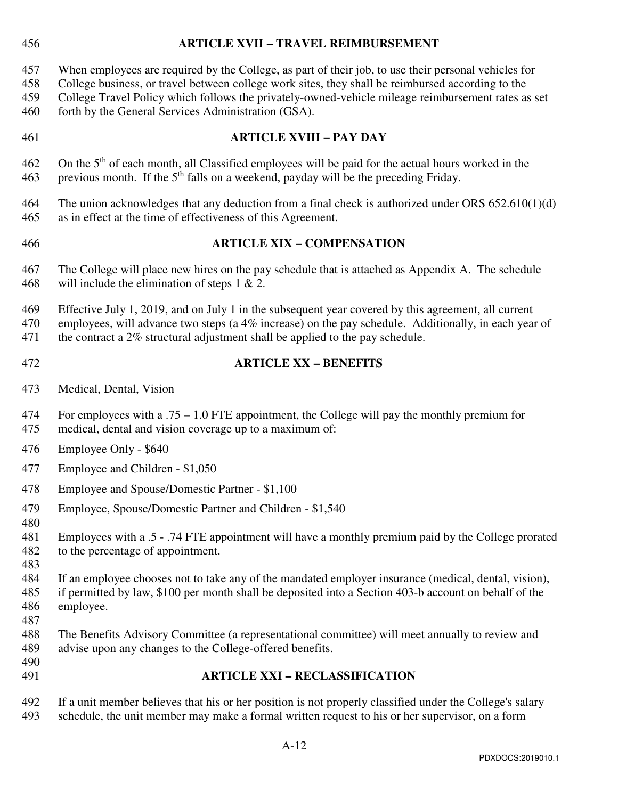# 456 **ARTICLE XVII – TRAVEL REIMBURSEMENT**  457 When employees are required by the College, as part of their job, to use their personal vehicles for 458 College business, or travel between college work sites, they shall be reimbursed according to the 459 College Travel Policy which follows the privately-owned-vehicle mileage reimbursement rates as set 460 forth by the General Services Administration (GSA). 461 **ARTICLE XVIII – PAY DAY**  462 On the  $5<sup>th</sup>$  of each month, all Classified employees will be paid for the actual hours worked in the 463 previous month. If the  $5<sup>th</sup>$  falls on a weekend, payday will be the preceding Friday. 464 The union acknowledges that any deduction from a final check is authorized under ORS 652.610(1)(d) 465 as in effect at the time of effectiveness of this Agreement. 466 **ARTICLE XIX – COMPENSATION**  467 The College will place new hires on the pay schedule that is attached as Appendix A. The schedule 468 will include the elimination of steps  $1 \& 2$ . 469 Effective July 1, 2019, and on July 1 in the subsequent year covered by this agreement, all current 470 employees, will advance two steps (a 4% increase) on the pay schedule. Additionally, in each year of 471 the contract a 2% structural adjustment shall be applied to the pay schedule. 472 **ARTICLE XX – BENEFITS**  473 Medical, Dental, Vision 474 For employees with a .75 – 1.0 FTE appointment, the College will pay the monthly premium for 475 medical, dental and vision coverage up to a maximum of: 476 Employee Only - \$640 477 Employee and Children - \$1,050 478 Employee and Spouse/Domestic Partner - \$1,100 479 Employee, Spouse/Domestic Partner and Children - \$1,540 480 481 Employees with a .5 - .74 FTE appointment will have a monthly premium paid by the College prorated 482 to the percentage of appointment. 483 484 If an employee chooses not to take any of the mandated employer insurance (medical, dental, vision), 485 if permitted by law, \$100 per month shall be deposited into a Section 403-b account on behalf of the 486 employee. 487 488 The Benefits Advisory Committee (a representational committee) will meet annually to review and 489 advise upon any changes to the College-offered benefits.

490

# 491 **ARTICLE XXI – RECLASSIFICATION**

492 If a unit member believes that his or her position is not properly classified under the College's salary 493 schedule, the unit member may make a formal written request to his or her supervisor, on a form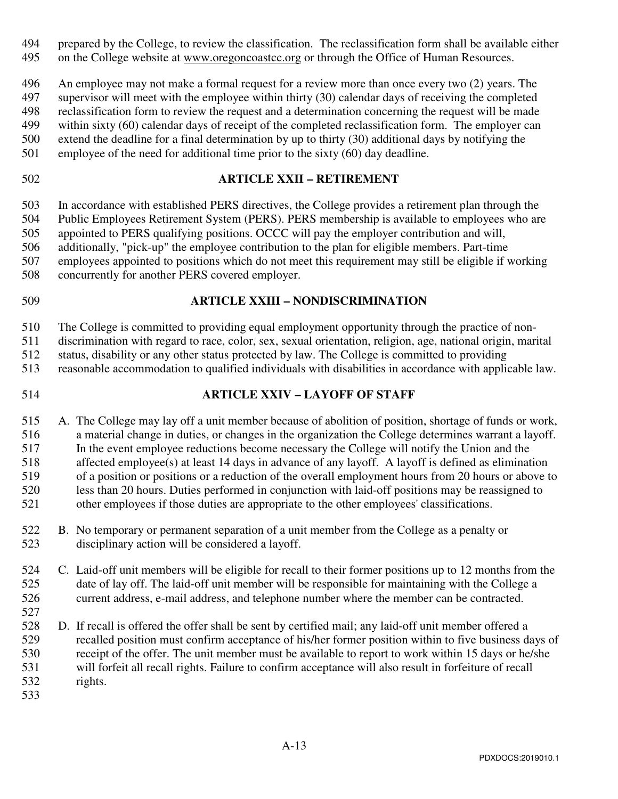494 prepared by the College, to review the classification. The reclassification form shall be available either

495 on the College website at www.oregoncoastcc.org or through the Office of Human Resources.

496 An employee may not make a formal request for a review more than once every two (2) years. The

497 supervisor will meet with the employee within thirty (30) calendar days of receiving the completed

498 reclassification form to review the request and a determination concerning the request will be made

499 within sixty (60) calendar days of receipt of the completed reclassification form. The employer can

- 500 extend the deadline for a final determination by up to thirty (30) additional days by notifying the
- 501 employee of the need for additional time prior to the sixty (60) day deadline.
- 

### 502 **ARTICLE XXII – RETIREMENT**

503 In accordance with established PERS directives, the College provides a retirement plan through the 504 Public Employees Retirement System (PERS). PERS membership is available to employees who are 505 appointed to PERS qualifying positions. OCCC will pay the employer contribution and will, 506 additionally, "pick-up" the employee contribution to the plan for eligible members. Part-time 507 employees appointed to positions which do not meet this requirement may still be eligible if working 508 concurrently for another PERS covered employer.

### 509 **ARTICLE XXIII – NONDISCRIMINATION**

510 The College is committed to providing equal employment opportunity through the practice of non-

511 discrimination with regard to race, color, sex, sexual orientation, religion, age, national origin, marital

512 status, disability or any other status protected by law. The College is committed to providing

- 513 reasonable accommodation to qualified individuals with disabilities in accordance with applicable law.
- 

# 514 **ARTICLE XXIV – LAYOFF OF STAFF**

515 A. The College may lay off a unit member because of abolition of position, shortage of funds or work, 516 a material change in duties, or changes in the organization the College determines warrant a layoff. 517 In the event employee reductions become necessary the College will notify the Union and the 518 affected employee(s) at least 14 days in advance of any layoff. A layoff is defined as elimination 519 of a position or positions or a reduction of the overall employment hours from 20 hours or above to 520 less than 20 hours. Duties performed in conjunction with laid-off positions may be reassigned to 521 other employees if those duties are appropriate to the other employees' classifications.

- 522 B. No temporary or permanent separation of a unit member from the College as a penalty or 523 disciplinary action will be considered a layoff.
- 524 C. Laid-off unit members will be eligible for recall to their former positions up to 12 months from the 525 date of lay off. The laid-off unit member will be responsible for maintaining with the College a 526 current address, e-mail address, and telephone number where the member can be contracted. 527
- 528 D. If recall is offered the offer shall be sent by certified mail; any laid-off unit member offered a 529 recalled position must confirm acceptance of his/her former position within to five business days of 530 receipt of the offer. The unit member must be available to report to work within 15 days or he/she 531 will forfeit all recall rights. Failure to confirm acceptance will also result in forfeiture of recall 532 rights.
- 533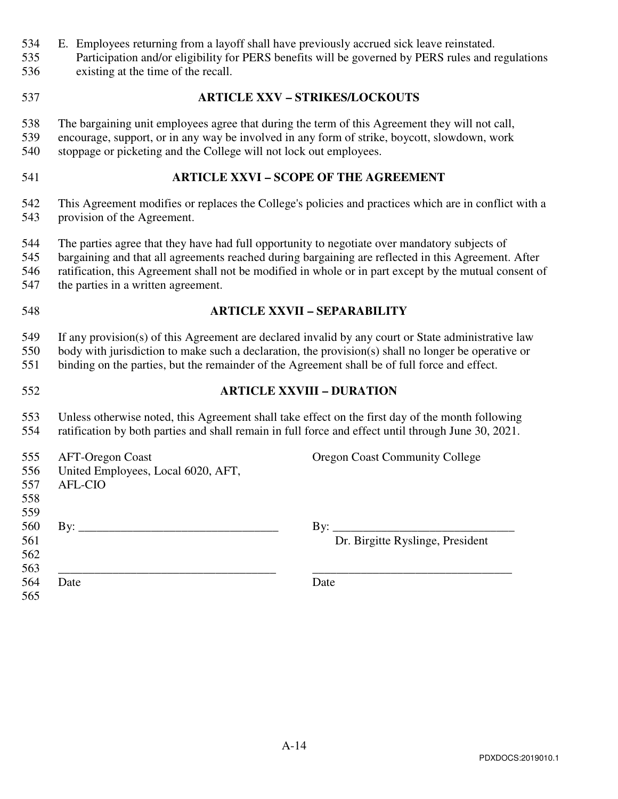- 534 E. Employees returning from a layoff shall have previously accrued sick leave reinstated.
- 535 Participation and/or eligibility for PERS benefits will be governed by PERS rules and regulations
- 536 existing at the time of the recall.
- 

### 537 **ARTICLE XXV – STRIKES/LOCKOUTS**

- 538 The bargaining unit employees agree that during the term of this Agreement they will not call,
- 539 encourage, support, or in any way be involved in any form of strike, boycott, slowdown, work 540 stoppage or picketing and the College will not lock out employees.
- 541 **ARTICLE XXVI SCOPE OF THE AGREEMENT**
- 542 This Agreement modifies or replaces the College's policies and practices which are in conflict with a 543 provision of the Agreement.
- 544 The parties agree that they have had full opportunity to negotiate over mandatory subjects of
- 545 bargaining and that all agreements reached during bargaining are reflected in this Agreement. After
- 546 ratification, this Agreement shall not be modified in whole or in part except by the mutual consent of
- 547 the parties in a written agreement.
- 

### 548 **ARTICLE XXVII – SEPARABILITY**

549 If any provision(s) of this Agreement are declared invalid by any court or State administrative law 550 body with jurisdiction to make such a declaration, the provision(s) shall no longer be operative or

551 binding on the parties, but the remainder of the Agreement shall be of full force and effect.

# 552 **ARTICLE XXVIII – DURATION**

553 Unless otherwise noted, this Agreement shall take effect on the first day of the month following 554 ratification by both parties and shall remain in full force and effect until through June 30, 2021.

| 555<br>556<br>557<br>558 | <b>AFT-Oregon Coast</b><br>United Employees, Local 6020, AFT,<br><b>AFL-CIO</b> | <b>Oregon Coast Community College</b>          |
|--------------------------|---------------------------------------------------------------------------------|------------------------------------------------|
| 559<br>560<br>561<br>562 |                                                                                 | $\rm{By:}$<br>Dr. Birgitte Ryslinge, President |
| 563<br>564<br>565        | Date                                                                            | Date                                           |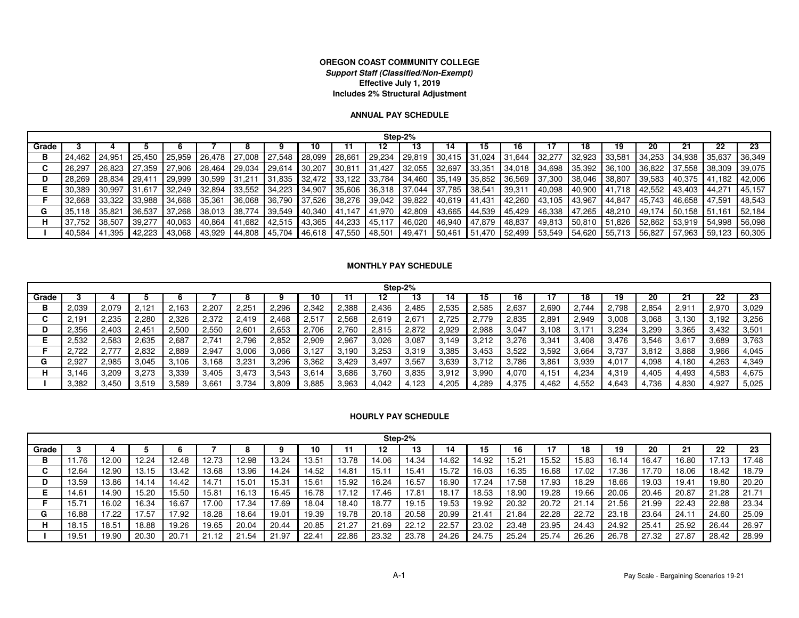#### **OREGON COAST COMMUNITY COLLEGE Support Staff (Classified/Non-Exempt)Effective July 1, 2019Includes 2% Structural Adjustment**

#### **ANNUAL PAY SCHEDULE**

|       | Step-2% |         |        |          |        |        |         |                      |                   |                                                     |         |         |        |                                                                                         |        |        |                                                     |        |                          |  |        |
|-------|---------|---------|--------|----------|--------|--------|---------|----------------------|-------------------|-----------------------------------------------------|---------|---------|--------|-----------------------------------------------------------------------------------------|--------|--------|-----------------------------------------------------|--------|--------------------------|--|--------|
| Grade |         |         |        |          |        |        |         |                      |                   |                                                     |         |         |        |                                                                                         |        |        |                                                     |        |                          |  |        |
|       | 24.462  | 124,951 | 25.450 | 125,959  | 26,478 | 27,008 | 27,548  | 28,099               | 28,661            | $29,234$ 29,819                                     |         | 30,415  | 31,024 | $31,644$ 32,277                                                                         |        | 32,923 | 33,581                                              | 34.253 | 34,938 35,637            |  | 36,349 |
|       | 26,29   | 26.823  | 27.359 | 27.906   | 28.464 | 29,034 | 29,614  | $30,207$ 30,811      |                   | 31,427 32,055                                       |         | 132,697 |        | $33.351$ 34.018 34.698                                                                  |        | 35,392 | 36,100   36,822   37,558   38,309                   |        |                          |  | 39,075 |
|       | 28.269  | 28,834  | 29.411 | 29,999   | 30,599 | 31,211 |         |                      |                   | 31,835   32,472   33,122   33,784   34,460   35,149 |         |         |        | $35,852$ 36,569 37,300                                                                  |        | 38,046 | 38,807 39,583 40,375 41,182                         |        |                          |  | 42,006 |
|       | 30.389  | 30.997  | 31.617 | 32.249   | 32.894 |        |         |                      |                   | 33,552 34,223 34,907 35,606 36,318 37,044           |         | 37,785  | 38,541 | 39,311                                                                                  | 40,098 |        | 40,900 41,718                                       |        | 42.552   43.403   44.271 |  | 45.157 |
|       | 32.668  | 33.322  | 33.988 | l 34.668 | 35.361 |        |         |                      |                   |                                                     |         |         |        | 36.068   36.790   37.526   38.276   39.042   39.822   40.619   41.431   42.260   43.105 |        | 43.967 | 44.847   45.743   46.658   47.591                   |        |                          |  | 48.543 |
|       | 35.118  | 135,821 | 36.537 | 37,268   | 38,013 | 38.774 | 39,549  | 40,340 41,147 41,970 |                   |                                                     | 42,809  | 43,665  |        | 44,539 45,429 46,338                                                                    |        | 47,265 | 48,210   49,174   50,158   51,161                   |        |                          |  | 52,184 |
|       | 37.752  | 38.507  | 39.277 | 40.063   | 40,864 | 41,682 | L42.515 | 43,365               | $ 44,233 $ 45,117 |                                                     | 146,020 | 46,940  |        | 47,879 48,837 49,813                                                                    |        |        | 50,810 51,826                                       |        | 52,862   53,919   54,998 |  | 56,098 |
|       | 40,584  | 41,395  | 42,223 | 43,068   | 43,929 |        |         |                      |                   | 44,808  45,704   46,618   47,550   48,501   49,471  |         | 50,461  |        |                                                                                         |        |        | 51,470   52,499   53,549   54,620   55,713   56,827 |        | 57,963 59,123            |  | 60,305 |

#### **MONTHLY PAY SCHEDULE**

|       | Step-2% |       |       |       |                |       |       |       |       |       |       |       |       |       |       |       |       |       |       |       |       |
|-------|---------|-------|-------|-------|----------------|-------|-------|-------|-------|-------|-------|-------|-------|-------|-------|-------|-------|-------|-------|-------|-------|
| Grade |         |       |       |       |                |       |       | 10    |       |       | נו    | 14    | 15    | 16    |       | 18    | 19    | 20    | 21    |       | 23    |
| в     | 2.039   | 2.079 | 2.121 | 2.163 | 2,207          | 2,251 | 2,296 | 2,342 | 2,388 | 2,436 | 2,485 | 2,535 | 2,585 | 2,637 | 2,690 | 2.744 | 2,798 | 2,854 | 2,911 | 2,970 | 3,029 |
|       | 2,191   | 2,235 | 2,280 | 2.326 | 2,372          | 2,419 | 2.468 | 2,517 | 2,568 | 2,619 | 2,671 | 2.725 | 2.779 | 2,835 | 2,891 | 2,949 | 3,008 | 3,068 | 3,130 | 3,192 | 3,256 |
| D     | 2,356   | 2,403 | 2,451 | 2,500 | 2,550          | 2,601 | 2,653 | 2,706 | 2,760 | 2,815 | 2,872 | 2,929 | 2,988 | 3,047 | 3,108 | 3,171 | 3,234 | 3,299 | 3,365 | 3,432 | 3,501 |
|       | 2.532   | 2.583 | 2,635 | 2,687 | 2,74           | 2.796 | 2,852 | 2,909 | 2,967 | 3,026 | 3,087 | 3,149 | 3,212 | 3,276 | 3,341 | 3.408 | 3.476 | 3,546 | 3,617 | 3,689 | 3,763 |
|       | 2,722   | 2.777 | 2,832 | 2,889 | 2,947          | 3,006 | 3,066 | 3,127 | 3,190 | 3,253 | 3,319 | 3,385 | 3,453 | 3,522 | 3,592 | 3,664 | 3,737 | 3,812 | 3,888 | 3,966 | 4,045 |
|       | 2,927   | 2.985 | 3,045 | .106  | 3,168          | 3,231 | 3,296 | 3,362 | 3,429 | 3,497 | 3,567 | 3,639 | 3,712 | 3.786 | 3,861 | 3,939 | 4,017 | 4,098 | 4,180 | 4,263 | 4,349 |
| н     | 3.146   | 3.209 | 3.273 | 3.339 | 3,405          | 3.473 | 3,543 | 3,614 | 3,686 | 3,760 | 3,835 | 3,912 | 3.990 | 4.070 | 4.151 | 4.234 | 4,319 | 4.405 | 1,493 | 4,583 | 4,675 |
|       | 3,382   | 3,450 | 3,519 | 3.589 | $3,66^{\circ}$ | 3,734 | 3.809 | 3,885 | 3,963 | .042  | .123  | 4,205 | 4,289 | 4,375 | 4.462 | 4,552 | 1,643 | 4,736 | 4,830 | 4,927 | 5,025 |

#### **HOURLY PAY SCHEDULE**

|       | Step-2% |       |       |       |       |             |       |       |       |       |          |       |       |       |       |       |       |       |       |       |       |
|-------|---------|-------|-------|-------|-------|-------------|-------|-------|-------|-------|----------|-------|-------|-------|-------|-------|-------|-------|-------|-------|-------|
| Grade |         |       |       |       |       |             |       | 10    |       |       | 19<br>נו | 14    | 15    | 16    |       | 18    | 19    | 20    | 21    | 22    | 23    |
| в     | 1.76    | 12.00 | 12.24 | 12.48 | 12.73 | 12.98       | 13.24 | 13.51 | 13.78 | 14.06 | 14.34    | 14.62 | 14.92 | 15.21 | 15.52 | 15.83 | 16.14 | 16.47 | 16.80 | 17.13 | 7.48° |
| ~     | 12.64   | 12.90 | 13.15 | 13.42 | 13.68 | 13.96       | 4.24  | 14.52 | 14.81 | 15.1  | 15.41    | 15.72 | 16.03 | 16.35 | 16.68 | 17.02 | 17.36 | 17.70 | 18.06 | 18.42 | 18.79 |
|       | 13.59   | 13.86 | 14.14 | 14.42 | 14.71 | 15.01       | 5.31  | 15.61 | 15.92 | 16.24 | 16.57    | 16.90 | 17.24 | 7.58  | 17.93 | 18.29 | 18.66 | 19.03 | 19.41 | 19.80 | 20.20 |
|       | 14.6'   | 4.90  | 15.20 | 15.50 | 15.81 | 16.13       | 16.45 | 16.78 | 7.12  | 7.46  | 7.81     | 18.17 | 18.53 | 18.90 | 19.28 | 19.66 | 20.06 | 20.46 | 20.87 | 21.28 | 21.71 |
|       | 15.7    | 16.02 | 16.34 | 16.67 | 17.00 | 17.34       | 7.69  | 18.04 | 18.40 | 18.77 | 19.15    | 19.53 | 19.92 | 20.32 | 20.72 | 21.14 | 21.56 | 21.99 | 22.43 | 22.88 | 23.34 |
| G     | 16.88   | 7.22  | 17.57 | 7.92  | 18.28 | 18.64       | 19.01 | 19.39 | 19.78 | 20.18 | 20.58    | 20.99 | 21.41 | 21.84 | 22.28 | 22.72 | 23.18 | 23.64 | 24.11 | 24.60 | 25.09 |
|       | 18.15   | 18.51 | 18.88 | 19.26 | 19.65 | 20.04       | 20.44 | 20.85 | 21.27 | 21.69 | 22.12    | 22.57 | 23.02 | 23.48 | 23.95 | 24.43 | 24.92 | 25.41 | 25.92 | 26.44 | 26.97 |
|       | 19.51   | 19.90 | 20.30 | 20.7  | 21.12 | .54<br>- 21 | 21.97 | 22.41 | 22.86 | 23.32 | 23.78    | 24.26 | 24.75 | 25.24 | 25.74 | 26.26 | 26.78 | 27.32 | 27.87 | 28.42 | 28.99 |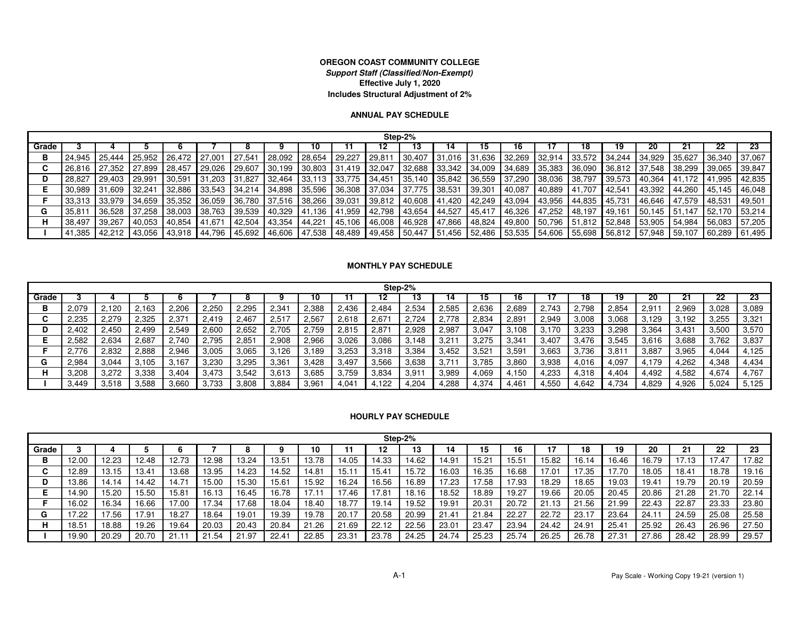#### **OREGON COAST COMMUNITY COLLEGE Support Staff (Classified/Non-Exempt)Effective July 1, 2020Includes Structural Adjustment of 2%**

#### **ANNUAL PAY SCHEDULE**

|       | Step-2% |               |        |                      |                 |                          |                               |               |                                                         |               |        |        |        |                               |  |         |                             |        |                                            |                |        |
|-------|---------|---------------|--------|----------------------|-----------------|--------------------------|-------------------------------|---------------|---------------------------------------------------------|---------------|--------|--------|--------|-------------------------------|--|---------|-----------------------------|--------|--------------------------------------------|----------------|--------|
| Grade |         |               |        |                      |                 |                          |                               | 10            |                                                         |               |        |        | כ ו    |                               |  |         |                             | 20     |                                            |                |        |
|       | 24.945  | 125.444       |        | 25,952 26,472 27,001 |                 | 27.541                   | 28,092                        | 28,654 29,227 |                                                         | 29,811        | 30,407 | 31,016 |        | 31,636 32,269 32,914          |  |         | 33,572 34,244 34,929 35,627 |        |                                            | 36.340         | 37,067 |
|       | 26.816  | <b>27.352</b> | 27.899 | 28.457               | 29,026          | 29,607                   | $\vert$ 30,199 30,803 31,419  |               |                                                         | 32,047        | 32,688 | 33,342 |        | $134,009$ $134,689$ $135,383$ |  | 136,090 | 36,812 37,548 38,299        |        |                                            | 39,065         | 39,847 |
|       | 28.827  | 29.403        | 29,991 | 30,591               | 31,203 31,827   |                          | 32,464                        |               | $33,113$ 33,775 34,451                                  |               | 35,140 | 35,842 |        | $36,559$ 37,290 38,036        |  | 38,797  | 39,573                      | 40,364 | 41,172 41,995                              |                | 42,835 |
|       | 30.989  | 31,609        | 32.241 | 32,886               | $33.543$ 34,214 |                          | 34,898                        |               | $\mid$ 35,596 $\mid$ 36,308 $\mid$ 37,034 $\mid$ 37,775 |               |        | 38,531 | 39,301 | 40,087 40,889                 |  | 41,707  | 42,541                      |        | 43,392 44,260 45,145                       |                | 46.048 |
|       |         | 33.979        | 34.659 | $35,352$ I           | 36,059          | 36,780                   | 37,516 38,266 39,031          |               |                                                         | 39,812 40,608 |        | 41,420 |        | 42,249 43,094 43,956          |  | 44,835  | 45.731   46.646   47.579    |        |                                            | <b>148.531</b> | 49.501 |
|       | 35.81   | 36,528        | 37.258 | $38,003$             | 38,763          | 39,539                   | $140.329$ $141.136$ $141.959$ |               |                                                         | 42,798 43,654 |        | 44,527 |        | $145,417$ 46,326 47,252       |  | 48,197  |                             |        | 49,161   50,145   51,147   52,170          |                | 53.214 |
|       | 38,497  | 39.267        | 40,053 | 40,854               | 41.671          | 42.504                   | 43,354                        | 44,221        | 45,106                                                  | 46,008 46,928 |        | 47,866 |        | 48,824 49,800 50,796          |  |         |                             |        | 51,812   52,848   53,905   54,984   56,083 |                | 57,205 |
|       | 41,385  | 42,212        |        | 43,056 43,918        | 44,796          | 45,692   46,606   47,538 |                               |               | 48,489                                                  | 49,458 50,447 |        | 51,456 |        | 52,486 53,535 54,606          |  |         |                             |        | 55.698   56.812   57.948   59.107   60.289 |                | 61,495 |

#### **MONTHLY PAY SCHEDULE**

|       | Step-2% |       |       |            |       |       |       |       |                |                |       |       |       |                   |       |       |       |       |       |       |       |
|-------|---------|-------|-------|------------|-------|-------|-------|-------|----------------|----------------|-------|-------|-------|-------------------|-------|-------|-------|-------|-------|-------|-------|
| Grade |         |       |       |            |       |       |       | 10    |                |                | נו    | 14    | 15    |                   |       | 18    | 19    | 20    | 21    | 22    | 23    |
| в     | 2.079   | 2.120 | 2,163 | 2,206      | 2,250 | 2,295 | 2,341 | 2,388 | 2,436          | 2.484          | 2,534 | 2,585 | 2,636 | 2,689             | 2,743 | 2.798 | 2,854 | 2,911 | 2,969 | 3,028 | 3,089 |
|       | 2.235   | 2,279 | 2,325 | $2.37^{1}$ | 2.419 | 2.467 | 2,517 | 2.567 | 2,618          | 2.67           | 2,724 | 2.778 | 2,834 | $2,89^{\circ}$    | 2,949 | 3,008 | 3,068 | 3,129 | 3,192 | 3,255 | 3,321 |
|       | 2,402   | 2,450 | 2,499 | 2,549      | 2,600 | 2,652 | 2,705 | 2,759 | 2,815          | $2,87^{\circ}$ | 2.928 | 2,987 | 3,047 | 3.108             | 3,170 | 3,233 | 3,298 | 3,364 | 3,431 | 3,500 | 3,570 |
|       | 2.582   | 2,634 | 2,687 | 2,740      | 2,795 | 2,851 | 2,908 | 2,966 | 3,026          | 3,086          | 3,148 | 3,21  | 3,275 | 3,341             | 3,407 | 3,476 | 3,545 | 3,616 | 3,688 | 3,762 | 3,837 |
|       | 776     | 2,832 | 2,888 | 2.946      | 3,005 | 3,065 | 3,126 | 3,189 | 3,253          | 3,318          | 3,384 | 3,452 | 3,521 | 3.59 <sup>1</sup> | 3,663 | 3,736 | 3,81  | 3,887 | 3,965 | 4,044 | 4,125 |
|       | 2.984   | 3,044 | 3,105 | 167،       | 3,230 | 3,295 | 3,361 | 3,428 | 3,497          | 3,566          | 3,638 | 3,71  | 3,785 | 3,860             | 3,938 | 4,016 | 4,097 | 4.179 | 4,262 | 4,348 | 4,434 |
|       | 3.208   | 3.272 | 3,338 | 3.404      | 3.473 | 3.542 | 3,613 | 3,685 | 3,759          | 3,834          | 3.911 | 3,989 | 4.069 | 4,150             | 4,233 | 4,318 | 4.404 | 4.492 | 4,582 | 4,674 | 4,767 |
|       | 3,449   | 3.518 | 3,588 | 3.660      | 3,733 | 3,808 | 3,884 | 3,961 | $4.04^{\circ}$ | 122            | 4,204 | 4,288 | 4,374 | 4.46              | 4,550 | 4,642 | .734  | 4,829 | 4,926 | 5,024 | 5,125 |

#### **HOURLY PAY SCHEDULE**

|          | Step-2% |       |       |                |       |       |       |       |       |       |          |       |       |                |       |       |                |       |                |       |       |
|----------|---------|-------|-------|----------------|-------|-------|-------|-------|-------|-------|----------|-------|-------|----------------|-------|-------|----------------|-------|----------------|-------|-------|
| Grade    |         |       |       |                |       |       |       | 10    |       | 12    | 19<br>נו | 14    | 15    | 16             |       | 18    | 19             | 20    | 21             | 22    | 23    |
| в        | 12.00   | 12.23 | 12.48 | 12.73          | 12.98 | 13.24 | 13.51 | 13.78 | 14.05 | 14.33 | 14.62    | 14.91 | 15.21 | $15.5^{\circ}$ | 15.82 | 16.14 | 16.46          | 16.79 | 17.13          | 7.47  | 17.82 |
| <b>.</b> | 12.89   | 13.15 | 13.41 | 13.68          | 13.95 | 14.23 | 14.52 | 14.81 | 15.11 | 15.41 | 15.72    | 16.03 | 16.35 | 16.68          | 17.01 | 17.35 | 7.70           | 18.05 | $18.4^{\circ}$ | 18.78 | 19.16 |
|          | 13.86   | 14.14 | 14.42 | $14.7^{\circ}$ | 15.00 | 15.30 | 15.61 | 15.92 | 16.24 | 16.56 | 16.89    | 17.23 | 17.58 | 7.93           | 18.29 | 18.65 | 19.03          | 19.41 | 19.79          | 20.19 | 20.59 |
|          | 14.90   | 15.20 | 15.50 | 15.81          | 16.13 | 16.45 | 16.78 | 17.1  | 7.46  | 17.81 | 18.16    | 18.52 | 18.89 | 19.27          | 19.66 | 20.05 | 20.45          | 20.86 | 21.28          | 21.70 | 22.14 |
|          | 16.02   | 16.34 | 16.66 | 7.00           | 17.34 | 17.68 | 18.04 | 18.40 | 18.77 | 19.14 | 19.52    | 19.91 | 20.31 | 20.72          | 21.13 | 21.56 | 21.99          | 22.43 | 22.87          | 23.33 | 23.80 |
| G        | 17.22   | 7.56  | 17.91 | 18.27          | 18.64 | 19.01 | 19.39 | 19.78 | 20.17 | 20.58 | 20.99    | 21.41 | 21.84 | 22.27          | 22.72 | 23.17 | 23.64          | 24.11 | 24.59          | 25.08 | 25.58 |
|          | 18.51   | 18.88 | 19.26 | 19.64          | 20.03 | 20.43 | 20.84 | 21.26 | 21.69 | 22.12 | 22.56    | 23.01 | 23.47 | 23.94          | 24.42 | 24.91 | $25.4^{\circ}$ | 25.92 | 26.43          | 26.96 | 27.50 |
|          | 19.90   | 20.29 | 20.70 |                | 21.54 | 21.97 | 22.41 | 22.85 | 23.31 | 23.78 | 24.25    | 24.74 | 25.23 | 25.74          | 26.25 | 26.78 | 27.31          | 27.86 | 28.42          | 28.99 | 29.57 |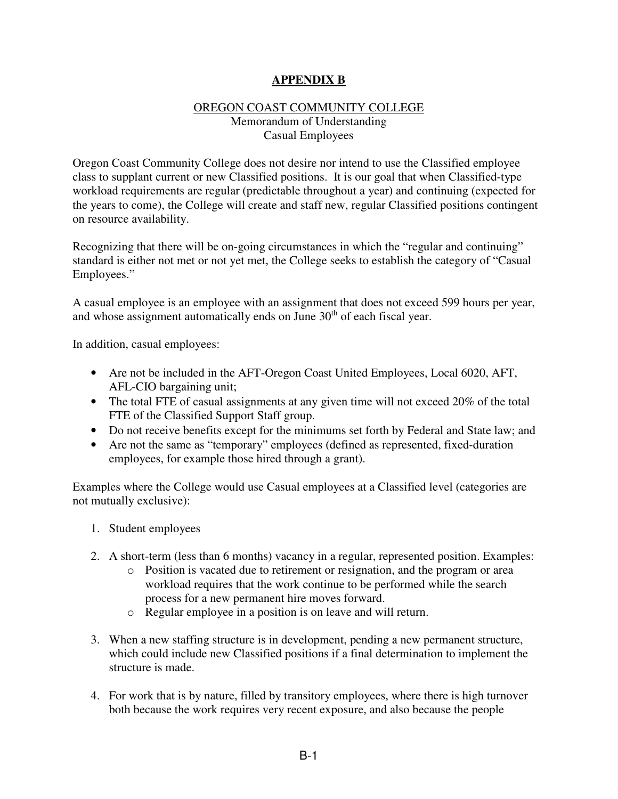### **APPENDIX B**

#### OREGON COAST COMMUNITY COLLEGE Memorandum of Understanding Casual Employees

Oregon Coast Community College does not desire nor intend to use the Classified employee class to supplant current or new Classified positions. It is our goal that when Classified-type workload requirements are regular (predictable throughout a year) and continuing (expected for the years to come), the College will create and staff new, regular Classified positions contingent on resource availability.

Recognizing that there will be on-going circumstances in which the "regular and continuing" standard is either not met or not yet met, the College seeks to establish the category of "Casual Employees."

A casual employee is an employee with an assignment that does not exceed 599 hours per year, and whose assignment automatically ends on June 30<sup>th</sup> of each fiscal year.

In addition, casual employees:

- Are not be included in the AFT-Oregon Coast United Employees, Local 6020, AFT, AFL-CIO bargaining unit;
- The total FTE of casual assignments at any given time will not exceed 20% of the total FTE of the Classified Support Staff group.
- Do not receive benefits except for the minimums set forth by Federal and State law; and
- Are not the same as "temporary" employees (defined as represented, fixed-duration employees, for example those hired through a grant).

Examples where the College would use Casual employees at a Classified level (categories are not mutually exclusive):

- 1. Student employees
- 2. A short-term (less than 6 months) vacancy in a regular, represented position. Examples:
	- o Position is vacated due to retirement or resignation, and the program or area workload requires that the work continue to be performed while the search process for a new permanent hire moves forward.
	- o Regular employee in a position is on leave and will return.
- 3. When a new staffing structure is in development, pending a new permanent structure, which could include new Classified positions if a final determination to implement the structure is made.
- 4. For work that is by nature, filled by transitory employees, where there is high turnover both because the work requires very recent exposure, and also because the people